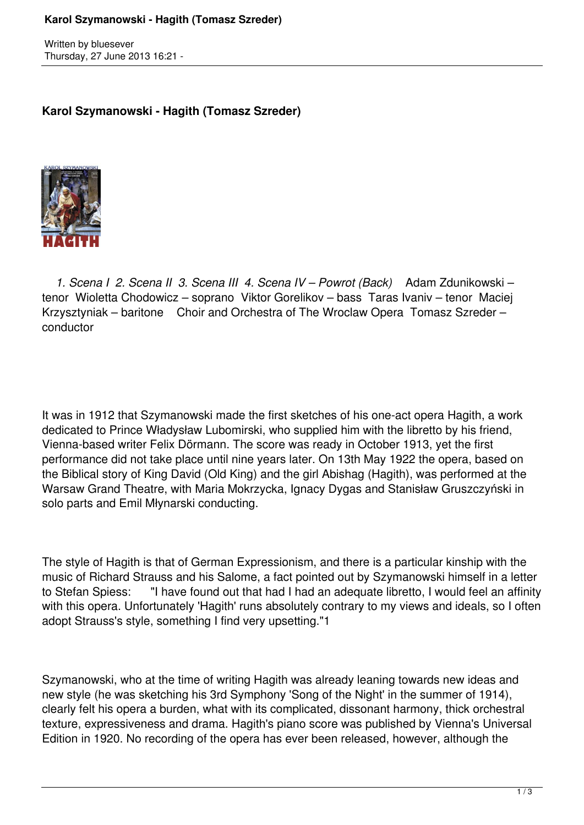## **Karol Szymanowski - Hagith (Tomasz Szreder)**

Written by bluesever Thursday, 27 June 2013 16:21 -

## **Karol Szymanowski - Hagith (Tomasz Szreder)**



 *1. Scena I 2. Scena II 3. Scena III 4. Scena IV – Powrot (Back)* Adam Zdunikowski – tenor Wioletta Chodowicz – soprano Viktor Gorelikov – bass Taras Ivaniv – tenor Maciej Krzysztyniak – baritone Choir and Orchestra of The Wroclaw Opera Tomasz Szreder – conductor

It was in 1912 that Szymanowski made the first sketches of his one-act opera Hagith, a work dedicated to Prince Władysław Lubomirski, who supplied him with the libretto by his friend, Vienna-based writer Felix Dörmann. The score was ready in October 1913, yet the first performance did not take place until nine years later. On 13th May 1922 the opera, based on the Biblical story of King David (Old King) and the girl Abishag (Hagith), was performed at the Warsaw Grand Theatre, with Maria Mokrzycka, Ignacy Dygas and Stanisław Gruszczyński in solo parts and Emil Młynarski conducting.

The style of Hagith is that of German Expressionism, and there is a particular kinship with the music of Richard Strauss and his Salome, a fact pointed out by Szymanowski himself in a letter to Stefan Spiess: "I have found out that had I had an adequate libretto, I would feel an affinity with this opera. Unfortunately 'Hagith' runs absolutely contrary to my views and ideals, so I often adopt Strauss's style, something I find very upsetting."1

Szymanowski, who at the time of writing Hagith was already leaning towards new ideas and new style (he was sketching his 3rd Symphony 'Song of the Night' in the summer of 1914), clearly felt his opera a burden, what with its complicated, dissonant harmony, thick orchestral texture, expressiveness and drama. Hagith's piano score was published by Vienna's Universal Edition in 1920. No recording of the opera has ever been released, however, although the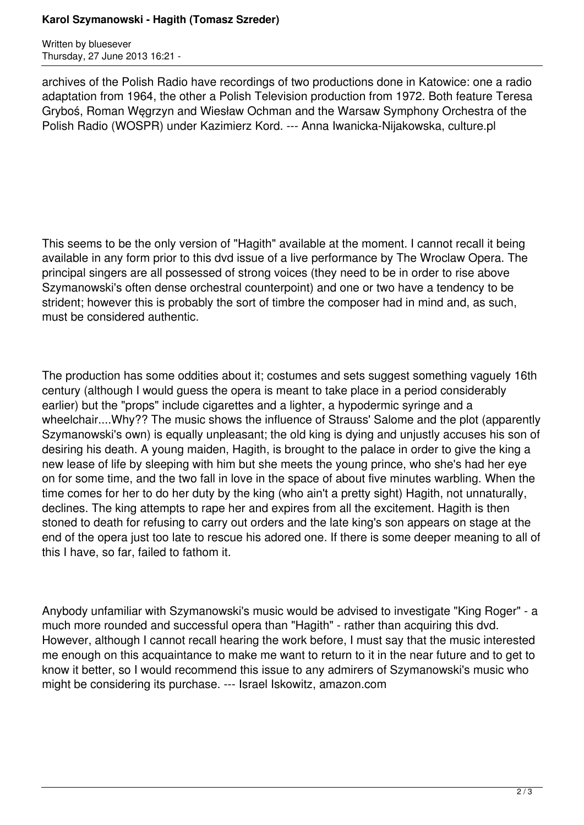## **Karol Szymanowski - Hagith (Tomasz Szreder)**

Written by bluesever Thursday, 27 June 2013 16:21 -

archives of the Polish Radio have recordings of two productions done in Katowice: one a radio adaptation from 1964, the other a Polish Television production from 1972. Both feature Teresa Gryboś, Roman Węgrzyn and Wiesław Ochman and the Warsaw Symphony Orchestra of the Polish Radio (WOSPR) under Kazimierz Kord. --- Anna Iwanicka-Nijakowska, culture.pl

This seems to be the only version of "Hagith" available at the moment. I cannot recall it being available in any form prior to this dvd issue of a live performance by The Wroclaw Opera. The principal singers are all possessed of strong voices (they need to be in order to rise above Szymanowski's often dense orchestral counterpoint) and one or two have a tendency to be strident; however this is probably the sort of timbre the composer had in mind and, as such, must be considered authentic.

The production has some oddities about it; costumes and sets suggest something vaguely 16th century (although I would guess the opera is meant to take place in a period considerably earlier) but the "props" include cigarettes and a lighter, a hypodermic syringe and a wheelchair....Why?? The music shows the influence of Strauss' Salome and the plot (apparently Szymanowski's own) is equally unpleasant; the old king is dying and unjustly accuses his son of desiring his death. A young maiden, Hagith, is brought to the palace in order to give the king a new lease of life by sleeping with him but she meets the young prince, who she's had her eye on for some time, and the two fall in love in the space of about five minutes warbling. When the time comes for her to do her duty by the king (who ain't a pretty sight) Hagith, not unnaturally, declines. The king attempts to rape her and expires from all the excitement. Hagith is then stoned to death for refusing to carry out orders and the late king's son appears on stage at the end of the opera just too late to rescue his adored one. If there is some deeper meaning to all of this I have, so far, failed to fathom it.

Anybody unfamiliar with Szymanowski's music would be advised to investigate "King Roger" - a much more rounded and successful opera than "Hagith" - rather than acquiring this dvd. However, although I cannot recall hearing the work before, I must say that the music interested me enough on this acquaintance to make me want to return to it in the near future and to get to know it better, so I would recommend this issue to any admirers of Szymanowski's music who might be considering its purchase. --- Israel Iskowitz, amazon.com